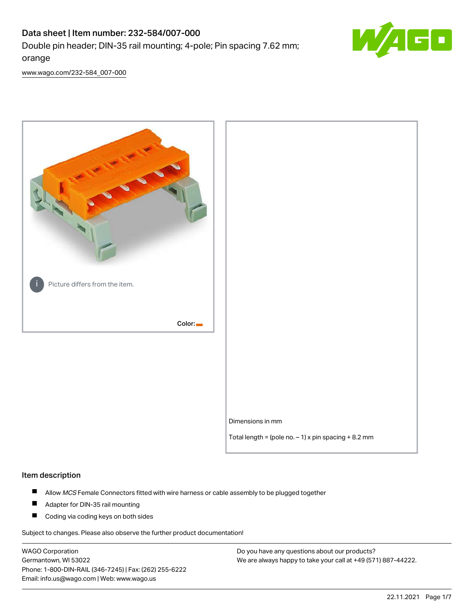# Data sheet | Item number: 232-584/007-000 Double pin header; DIN-35 rail mounting; 4-pole; Pin spacing 7.62 mm; orange



[www.wago.com/232-584\\_007-000](http://www.wago.com/232-584_007-000)



#### Item description

- $\blacksquare$ Allow MCS Female Connectors fitted with wire harness or cable assembly to be plugged together
- $\blacksquare$ Adapter for DIN-35 rail mounting
- $\blacksquare$ Coding via coding keys on both sides

Subject to changes. Please also observe the further product documentation!

WAGO Corporation Germantown, WI 53022 Phone: 1-800-DIN-RAIL (346-7245) | Fax: (262) 255-6222 Email: info.us@wago.com | Web: www.wago.us

Do you have any questions about our products? We are always happy to take your call at +49 (571) 887-44222.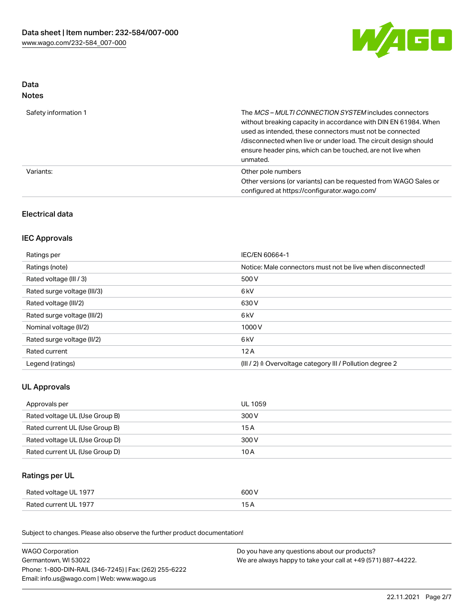

#### Data Notes

| Safety information 1 | The <i>MCS – MULTI CONNECTION SYSTEM</i> includes connectors<br>without breaking capacity in accordance with DIN EN 61984. When<br>used as intended, these connectors must not be connected<br>/disconnected when live or under load. The circuit design should<br>ensure header pins, which can be touched, are not live when<br>unmated. |
|----------------------|--------------------------------------------------------------------------------------------------------------------------------------------------------------------------------------------------------------------------------------------------------------------------------------------------------------------------------------------|
| Variants:            | Other pole numbers<br>Other versions (or variants) can be requested from WAGO Sales or<br>configured at https://configurator.wago.com/                                                                                                                                                                                                     |

# Electrical data

## IEC Approvals

| Ratings per                 | IEC/EN 60664-1                                                        |
|-----------------------------|-----------------------------------------------------------------------|
| Ratings (note)              | Notice: Male connectors must not be live when disconnected!           |
| Rated voltage (III / 3)     | 500 V                                                                 |
| Rated surge voltage (III/3) | 6 <sub>kV</sub>                                                       |
| Rated voltage (III/2)       | 630 V                                                                 |
| Rated surge voltage (III/2) | 6 <sub>kV</sub>                                                       |
| Nominal voltage (II/2)      | 1000V                                                                 |
| Rated surge voltage (II/2)  | 6 <sub>kV</sub>                                                       |
| Rated current               | 12A                                                                   |
| Legend (ratings)            | $(III / 2)$ $\triangle$ Overvoltage category III / Pollution degree 2 |

# UL Approvals

| Approvals per                  | UL 1059 |
|--------------------------------|---------|
| Rated voltage UL (Use Group B) | 300 V   |
| Rated current UL (Use Group B) | 15 A    |
| Rated voltage UL (Use Group D) | 300 V   |
| Rated current UL (Use Group D) | 10 A    |

## Ratings per UL

| Rated voltage UL 1977 | 600 V |
|-----------------------|-------|
| Rated current UL 1977 |       |

Subject to changes. Please also observe the further product documentation!

| <b>WAGO Corporation</b>                                | Do you have any questions about our products?                 |
|--------------------------------------------------------|---------------------------------------------------------------|
| Germantown, WI 53022                                   | We are always happy to take your call at +49 (571) 887-44222. |
| Phone: 1-800-DIN-RAIL (346-7245)   Fax: (262) 255-6222 |                                                               |
| Email: info.us@wago.com   Web: www.wago.us             |                                                               |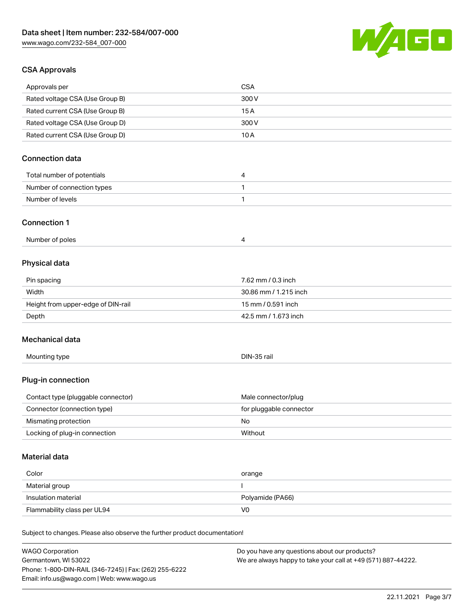

## CSA Approvals

WAGO Corporation

| Approvals per                                                              | <b>CSA</b>               |  |
|----------------------------------------------------------------------------|--------------------------|--|
| Rated voltage CSA (Use Group B)                                            | 300V                     |  |
| Rated current CSA (Use Group B)                                            | 15A                      |  |
| Rated voltage CSA (Use Group D)                                            | 300 V                    |  |
| Rated current CSA (Use Group D)                                            | 10A                      |  |
| <b>Connection data</b>                                                     |                          |  |
| Total number of potentials                                                 | 4                        |  |
| Number of connection types                                                 | 1                        |  |
| Number of levels                                                           | $\mathbf{1}$             |  |
| <b>Connection 1</b>                                                        |                          |  |
| Number of poles                                                            | 4                        |  |
| Physical data                                                              |                          |  |
| Pin spacing                                                                | 7.62 mm / 0.3 inch       |  |
| Width                                                                      | 30.86 mm / 1.215 inch    |  |
| Height from upper-edge of DIN-rail                                         | 15 mm / 0.591 inch       |  |
| Depth                                                                      | 42.5 mm / 1.673 inch     |  |
| Mechanical data                                                            |                          |  |
| Mounting type                                                              | DIN-35 rail              |  |
| Plug-in connection                                                         |                          |  |
| Contact type (pluggable connector)                                         | Male connector/plug      |  |
| Connector (connection type)                                                | for pluggable connector  |  |
| Mismating protection                                                       | No                       |  |
| Locking of plug-in connection                                              | Without                  |  |
| <b>Material data</b>                                                       |                          |  |
| Color                                                                      | orange                   |  |
| Material group                                                             | $\overline{\phantom{a}}$ |  |
| Insulation material                                                        | Polyamide (PA66)         |  |
| Flammability class per UL94                                                | V <sub>0</sub>           |  |
| Subject to changes. Please also observe the further product documentation! |                          |  |

| Germantown. WI 53022                                   | We are always happy to take your call at +49 (571) 887-44222. |
|--------------------------------------------------------|---------------------------------------------------------------|
| Phone: 1-800-DIN-RAIL (346-7245)   Fax: (262) 255-6222 |                                                               |
| Email: info.us@wago.com   Web: www.wago.us             |                                                               |

Do you have any questions about our products?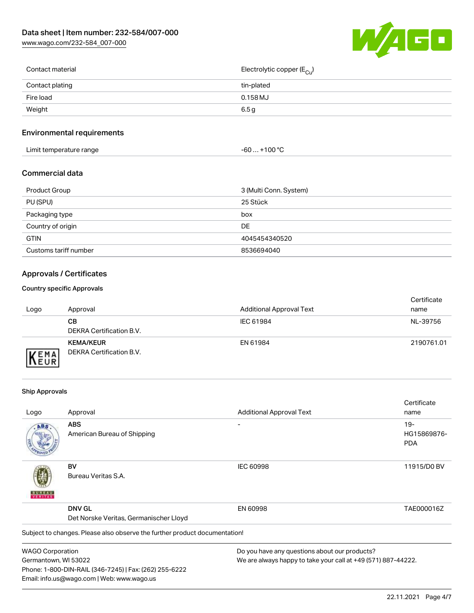[www.wago.com/232-584\\_007-000](http://www.wago.com/232-584_007-000)



| Contact material | Electrolytic copper (E <sub>Cu</sub> ) |
|------------------|----------------------------------------|
| Contact plating  | tin-plated                             |
| Fire load        | $0.158$ MJ                             |
| Weight           | 6.5 g                                  |
|                  |                                        |

## Environmental requirements

| Limit temperature range | ⊥+100 °ົ<br>-60 |
|-------------------------|-----------------|
|-------------------------|-----------------|

#### Commercial data

| Product Group         | 3 (Multi Conn. System) |
|-----------------------|------------------------|
| PU (SPU)              | 25 Stück               |
| Packaging type        | box                    |
| Country of origin     | DE.                    |
| <b>GTIN</b>           | 4045454340520          |
| Customs tariff number | 8536694040             |

# Approvals / Certificates

#### Country specific Approvals

| Logo                      | Approval                                     | <b>Additional Approval Text</b> | Certificate<br>name |
|---------------------------|----------------------------------------------|---------------------------------|---------------------|
|                           | CВ<br>DEKRA Certification B.V.               | IEC 61984                       | NL-39756            |
| <b>EMA</b><br><b>NEUR</b> | <b>KEMA/KEUR</b><br>DEKRA Certification B.V. | EN 61984                        | 2190761.01          |

#### Ship Approvals

Email: info.us@wago.com | Web: www.wago.us

|                         |                                                                            |                                               | Certificate                                                   |  |
|-------------------------|----------------------------------------------------------------------------|-----------------------------------------------|---------------------------------------------------------------|--|
| Logo                    | Approval                                                                   | <b>Additional Approval Text</b>               | name                                                          |  |
| ABS                     | <b>ABS</b>                                                                 |                                               | $19-$                                                         |  |
|                         | American Bureau of Shipping                                                |                                               | HG15869876-                                                   |  |
|                         |                                                                            |                                               | <b>PDA</b>                                                    |  |
|                         | BV                                                                         | <b>IEC 60998</b>                              | 11915/D0 BV                                                   |  |
|                         | Bureau Veritas S.A.                                                        |                                               |                                                               |  |
|                         | <b>DNV GL</b>                                                              | EN 60998                                      | TAE000016Z                                                    |  |
|                         | Det Norske Veritas, Germanischer Lloyd                                     |                                               |                                                               |  |
|                         | Subject to changes. Please also observe the further product documentation! |                                               |                                                               |  |
| <b>WAGO Corporation</b> |                                                                            | Do you have any questions about our products? |                                                               |  |
| Germantown, WI 53022    |                                                                            |                                               | We are always happy to take your call at +49 (571) 887-44222. |  |
|                         | Phone: 1-800-DIN-RAIL (346-7245)   Fax: (262) 255-6222                     |                                               |                                                               |  |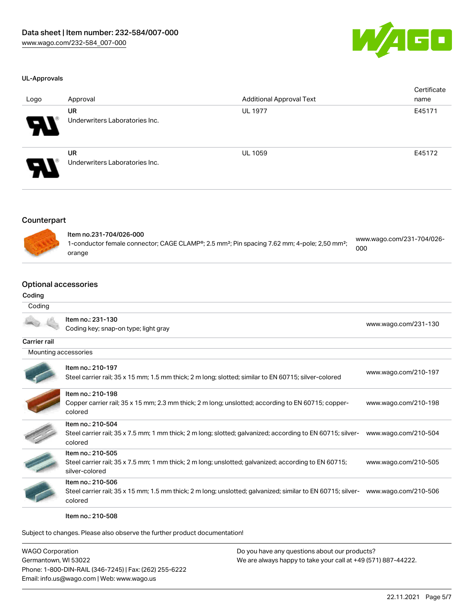

#### UL-Approvals

| Logo                       | Approval                                    | <b>Additional Approval Text</b> | Certificate<br>name |
|----------------------------|---------------------------------------------|---------------------------------|---------------------|
| $\boldsymbol{\mathcal{P}}$ | <b>UR</b><br>Underwriters Laboratories Inc. | <b>UL 1977</b>                  | E45171              |
| $\boldsymbol{\mathcal{P}}$ | <b>UR</b><br>Underwriters Laboratories Inc. | <b>UL 1059</b>                  | E45172              |

#### Counterpart



| ltem no.231-704/026-000                                                                                              |                                  |
|----------------------------------------------------------------------------------------------------------------------|----------------------------------|
| 1-conductor female connector; CAGE CLAMP®; 2.5 mm <sup>2</sup> ; Pin spacing 7.62 mm; 4-pole; 2,50 mm <sup>2</sup> ; | www.wago.com/231-704/026-<br>000 |
| orange                                                                                                               |                                  |

# Optional accessories

#### Coding

| Coding               |                                                                                                                                             |                      |
|----------------------|---------------------------------------------------------------------------------------------------------------------------------------------|----------------------|
|                      | Item no.: 231-130<br>Coding key; snap-on type; light gray                                                                                   | www.wago.com/231-130 |
| Carrier rail         |                                                                                                                                             |                      |
| Mounting accessories |                                                                                                                                             |                      |
|                      | Item no.: 210-197<br>Steel carrier rail; 35 x 15 mm; 1.5 mm thick; 2 m long; slotted; similar to EN 60715; silver-colored                   | www.wago.com/210-197 |
|                      | Item no.: 210-198<br>Copper carrier rail; 35 x 15 mm; 2.3 mm thick; 2 m long; unslotted; according to EN 60715; copper-<br>colored          | www.wago.com/210-198 |
|                      | Item no.: 210-504<br>Steel carrier rail; 35 x 7.5 mm; 1 mm thick; 2 m long; slotted; galvanized; according to EN 60715; silver-<br>colored  | www.wago.com/210-504 |
|                      | Item no.: 210-505<br>Steel carrier rail; 35 x 7.5 mm; 1 mm thick; 2 m long; unslotted; galvanized; according to EN 60715;<br>silver-colored | www.wago.com/210-505 |
|                      | Item no.: 210-506<br>Steel carrier rail; 35 x 15 mm; 1.5 mm thick; 2 m long; unslotted; galvanized; similar to EN 60715; silver-<br>colored | www.wago.com/210-506 |

Item no.: 210-508

Subject to changes. Please also observe the further product documentation!

| WAGO Corporation                                       | Do you have any questions about our products?                 |
|--------------------------------------------------------|---------------------------------------------------------------|
| Germantown, WI 53022                                   | We are always happy to take your call at +49 (571) 887-44222. |
| Phone: 1-800-DIN-RAIL (346-7245)   Fax: (262) 255-6222 |                                                               |
| Email: info.us@wago.com   Web: www.wago.us             |                                                               |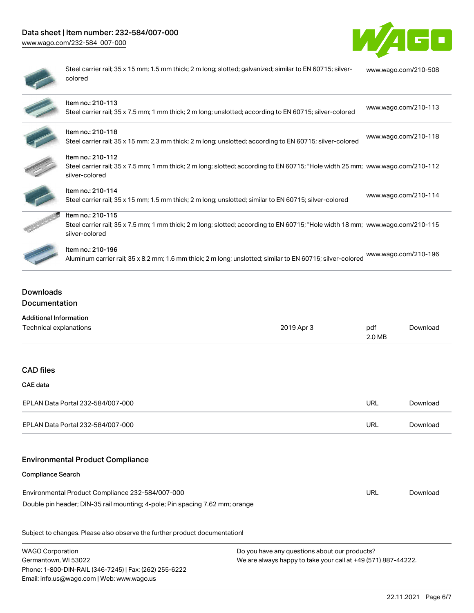# Data sheet | Item number: 232-584/007-000

[www.wago.com/232-584\\_007-000](http://www.wago.com/232-584_007-000)



| $\sim$ |  |
|--------|--|
| ۰      |  |
| ۱      |  |
|        |  |
|        |  |

Steel carrier rail; 35 x 15 mm; 1.5 mm thick; 2 m long; slotted; galvanized; similar to EN 60715; silvercolored [www.wago.com/210-508](http://www.wago.com/210-508)

| Item no.: 210-113<br>Steel carrier rail; 35 x 7.5 mm; 1 mm thick; 2 m long; unslotted; according to EN 60715; silver-colored | www.wago.com/210-113 |
|------------------------------------------------------------------------------------------------------------------------------|----------------------|



| ltem no.: 210-118          |  |  |
|----------------------------|--|--|
| Otto a La anglica de lla O |  |  |

Item no.: 210-112

silver-colored

|                                                                                                         | www.wago.com/210-118 |
|---------------------------------------------------------------------------------------------------------|----------------------|
| teel carrier rail; 35 x 15 mm; 2.3 mm thick; 2 m long; unslotted; according to EN 60715; silver-colored |                      |





# Steel carrier rail; 35 x 15 mm; 1.5 mm thick; 2 m long; unslotted; similar to EN 60715; silver-colored [www.wago.com/210-114](http://www.wago.com/210-114)

Item no.: 210-114

Item no.: 210-115 Steel carrier rail; 35 x 7.5 mm; 1 mm thick; 2 m long; slotted; according to EN 60715; "Hole width 18 mm; [www.wago.com/210-115](http://www.wago.com/210-115)

Steel carrier rail; 35 x 7.5 mm; 1 mm thick; 2 m long; slotted; according to EN 60715; "Hole width 25 mm; [www.wago.com/210-112](http://www.wago.com/210-112)



#### Item no.: 210-196

silver-colored

Aluminum carrier rail; 35 x 8.2 mm; 1.6 mm thick; 2 m long; unslotted; similar to EN 60715; silver-colored [www.wago.com/210-196](http://www.wago.com/210-196)

# Downloads Documentation

| <b>Additional Information</b>                                                |            |               |          |
|------------------------------------------------------------------------------|------------|---------------|----------|
| Technical explanations                                                       | 2019 Apr 3 | pdf<br>2.0 MB | Download |
|                                                                              |            |               |          |
| <b>CAD files</b>                                                             |            |               |          |
| CAE data                                                                     |            |               |          |
| EPLAN Data Portal 232-584/007-000                                            |            | <b>URL</b>    | Download |
| EPLAN Data Portal 232-584/007-000                                            |            | URL           | Download |
| <b>Environmental Product Compliance</b>                                      |            |               |          |
| <b>Compliance Search</b>                                                     |            |               |          |
| Environmental Product Compliance 232-584/007-000                             |            | <b>URL</b>    | Download |
| Double pin header; DIN-35 rail mounting; 4-pole; Pin spacing 7.62 mm; orange |            |               |          |

Subject to changes. Please also observe the further product documentation!

WAGO Corporation Germantown, WI 53022 Phone: 1-800-DIN-RAIL (346-7245) | Fax: (262) 255-6222 Email: info.us@wago.com | Web: www.wago.us Do you have any questions about our products? We are always happy to take your call at +49 (571) 887-44222.